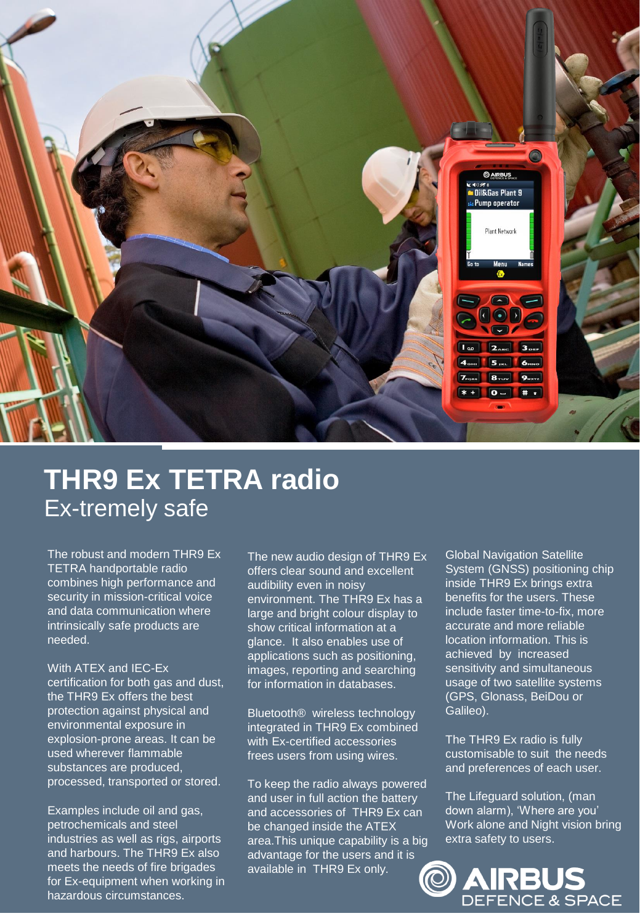

# **THR9 Ex TETRA radio** Ex-tremely safe

The robust and modern THR9 Ex TETRA handportable radio combines high performance and security in mission-critical voice and data communication where intrinsically safe products are needed.

With ATEX and IEC-Ex certification for both gas and dust, the THR9 Ex offers the best protection against physical and environmental exposure in explosion-prone areas. It can be used wherever flammable substances are produced, processed, transported or stored.

Examples include oil and gas, petrochemicals and steel industries as well as rigs, airports and harbours. The THR9 Ex also meets the needs of fire brigades for Ex-equipment when working in hazardous circumstances.

The new audio design of THR9 Ex offers clear sound and excellent audibility even in noisy environment. The THR9 Ex has a large and bright colour display to show critical information at a glance. It also enables use of applications such as positioning, images, reporting and searching for information in databases.

Bluetooth® wireless technology integrated in THR9 Ex combined with Ex-certified accessories frees users from using wires.

To keep the radio always powered and user in full action the battery and accessories of THR9 Ex can be changed inside the ATEX area.This unique capability is a big advantage for the users and it is available in THR9 Ex only.

Global Navigation Satellite System (GNSS) positioning chip inside THR9 Ex brings extra benefits for the users. These include faster time-to-fix, more accurate and more reliable location information. This is achieved by increased sensitivity and simultaneous usage of two satellite systems (GPS, Glonass, BeiDou or Galileo).

The THR9 Ex radio is fully customisable to suit the needs and preferences of each user.

The Lifeguard solution, (man down alarm), 'Where are you' Work alone and Night vision bring extra safety to users.